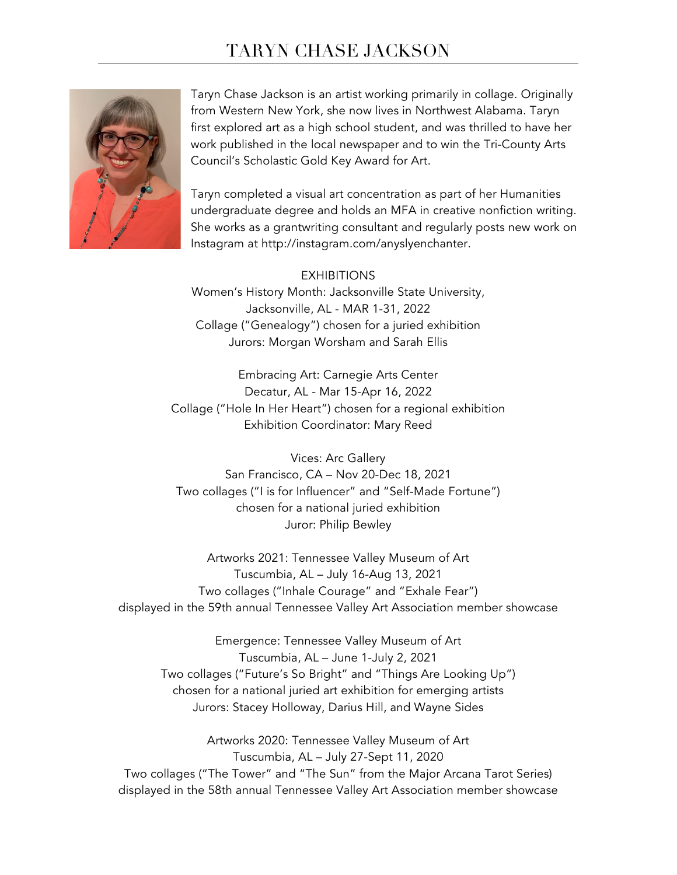## TARYN CHASE JACKSON



Taryn Chase Jackson is an artist working primarily in collage. Originally from Western New York, she now lives in Northwest Alabama. Taryn first explored art as a high school student, and was thrilled to have her work published in the local newspaper and to win the Tri-County Arts Council's Scholastic Gold Key Award for Art.

Taryn completed a visual art concentration as part of her Humanities undergraduate degree and holds an MFA in creative nonfiction writing. She works as a grantwriting consultant and regularly posts new work on Instagram at http://instagram.com/anyslyenchanter.

## EXHIBITIONS Women's History Month: Jacksonville State University, Jacksonville, AL - MAR 1-31, 2022 Collage ("Genealogy") chosen for a juried exhibition Jurors: Morgan Worsham and Sarah Ellis

Embracing Art: Carnegie Arts Center Decatur, AL - Mar 15-Apr 16, 2022 Collage ("Hole In Her Heart") chosen for a regional exhibition Exhibition Coordinator: Mary Reed

Vices: Arc Gallery San Francisco, CA – Nov 20-Dec 18, 2021 Two collages ("I is for Influencer" and "Self-Made Fortune") chosen for a national juried exhibition Juror: Philip Bewley

Artworks 2021: Tennessee Valley Museum of Art Tuscumbia, AL – July 16-Aug 13, 2021 Two collages ("Inhale Courage" and "Exhale Fear") displayed in the 59th annual Tennessee Valley Art Association member showcase

Emergence: Tennessee Valley Museum of Art Tuscumbia, AL – June 1-July 2, 2021 Two collages ("Future's So Bright" and "Things Are Looking Up") chosen for a national juried art exhibition for emerging artists Jurors: Stacey Holloway, Darius Hill, and Wayne Sides

Artworks 2020: Tennessee Valley Museum of Art Tuscumbia, AL – July 27-Sept 11, 2020 Two collages ("The Tower" and "The Sun" from the Major Arcana Tarot Series) displayed in the 58th annual Tennessee Valley Art Association member showcase